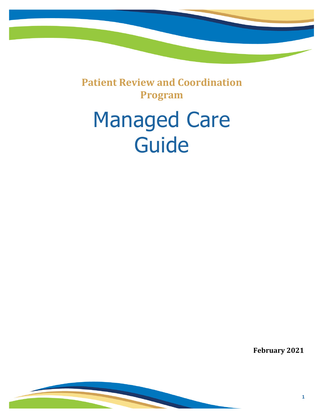**Patient Review and Coordination Program**

# Managed Care Guide

**February 2021**

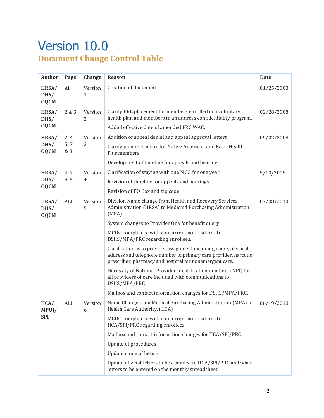### Version 10.0 **Document Change Control Table**

| <b>Author</b>                | Page                  | Change       | Reason                                                                                                                                                                                                                                                                                                                                                                                                                                                                                                                                                                                                                                                                                        | <b>Date</b> |
|------------------------------|-----------------------|--------------|-----------------------------------------------------------------------------------------------------------------------------------------------------------------------------------------------------------------------------------------------------------------------------------------------------------------------------------------------------------------------------------------------------------------------------------------------------------------------------------------------------------------------------------------------------------------------------------------------------------------------------------------------------------------------------------------------|-------------|
| HRSA/<br>DHS/<br><b>OQCM</b> | All                   | Version<br>1 | Creation of document                                                                                                                                                                                                                                                                                                                                                                                                                                                                                                                                                                                                                                                                          | 01/25/2008  |
| HRSA/<br>DHS/<br><b>OQCM</b> | 2 & 3                 | Version<br>2 | Clarify PRC placement for members enrolled in a voluntary<br>health plan and members in an address confidentiality program.<br>Added effective date of amended PRC WAC.                                                                                                                                                                                                                                                                                                                                                                                                                                                                                                                       | 02/28/2008  |
| HRSA/<br>DHS/<br><b>OQCM</b> | 2, 4,<br>5, 7,<br>& 8 | Version<br>3 | Addition of appeal denial and appeal approval letters<br>Clarify plan restriction for Native American and Basic Health<br>Plus members<br>Development of timeline for appeals and hearings                                                                                                                                                                                                                                                                                                                                                                                                                                                                                                    | 09/02/2008  |
| HRSA/<br>DHS/<br><b>OQCM</b> | 4, 7,<br>8,9          | Version<br>4 | Clarification of staying with one MCO for one year<br>Revision of timeline for appeals and hearings<br>Revision of PO Box and zip code                                                                                                                                                                                                                                                                                                                                                                                                                                                                                                                                                        | 9/10/2009   |
| HRSA/<br>DHS/<br><b>OQCM</b> | ALL                   | Version<br>5 | Division Name change from Health and Recovery Services<br>Administration (HRSA) to Medicaid Purchasing Administration<br>$(MPA)$ .<br>System changes to Provider One for benefit query.<br>MCOs' compliance with concurrent notifications to<br>DSHS/MPA/PRC regarding enrollees.<br>Clarification as to provider assignment including name, physical<br>address and telephone number of primary care provider, narcotic<br>prescriber, pharmacy and hospital for nonemergent care.<br>Necessity of National Provider Identification numbers (NPI) for<br>all providers of care included with communications to<br>DSHS/MPA/PRC,<br>Mailbox and contact information changes for DSHS/MPA/PRC. | 07/08/2010  |
| HCA/<br>MPOI/<br><b>SPI</b>  | ALL                   | Version<br>6 | Name Change from Medical Purchasing Administration (MPA) to<br>Health Care Authority. (HCA)<br>MCOs' compliance with concurrent notifications to<br>HCA/SPI/PRC regarding enrollees.<br>Mailbox and contact information changes for HCA/SPI/PRC<br><b>Update of procedures</b><br>Update name of letters<br>Update of what letters to be e-mailed to HCA/SPI/PRC and what<br>letters to be entered on the monthly spreadsheet                                                                                                                                                                                                                                                                 | 06/19/2018  |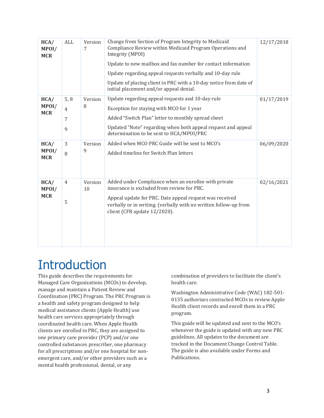| HCA/<br>MPOI/<br><b>MCR</b> | ALL                              | Version<br>7  | Change from Section of Program Integrity to Medicaid<br>Compliance Review within Medicaid Program Operations and<br>Integrity (MPOI)<br>Update to new mailbox and fax number for contact information<br>Update regarding appeal requests verbally and 10-day rule<br>Update of placing client in PRC with a 10-day notice from date of<br>initial placement and/or appeal denial. | 12/17/2018 |
|-----------------------------|----------------------------------|---------------|-----------------------------------------------------------------------------------------------------------------------------------------------------------------------------------------------------------------------------------------------------------------------------------------------------------------------------------------------------------------------------------|------------|
| HCA/<br>MPOI/<br><b>MCR</b> | 5, 8<br>$\overline{4}$<br>7<br>9 | Version<br>8  | Update regarding appeal requests and 10-day rule<br>Exception for staying with MCO for 1 year<br>Added "Switch Plan" letter to monthly spread sheet<br>Updated "Note" regarding when both appeal request and appeal<br>determination to be sent to HCA/MPOI/PRC                                                                                                                   | 01/17/2019 |
| HCA/<br>MPOI/<br><b>MCR</b> | 3<br>8                           | Version<br>9  | Added when MCO PRC Guide will be sent to MCO's<br>Added timeline for Switch Plan letters                                                                                                                                                                                                                                                                                          | 06/09/2020 |
| HCA/<br>MPOI/<br><b>MCR</b> | $\overline{4}$<br>5              | Version<br>10 | Added under Compliance when an enrollee with private<br>insurance is excluded from review for PRC.<br>Appeal update for PRC. Date appeal request was received<br>verbally or in writing. (verbally with no written follow-up from<br>client (CFR update 12/2020).                                                                                                                 | 02/16/2021 |

### **Introduction**

This guide describes the requirements for Managed Care Organizations (MCOs) to develop, manage and maintain a Patient Review and Coordination (PRC) Program. The PRC Program is a health and safety program designed to help medical assistance clients (Apple Health) use health care services appropriately through coordinated health care. When Apple Health clients are enrolled in PRC, they are assigned to one primary care provider (PCP) and/or one controlled substances prescriber, one pharmacy for all prescriptions and/or one hospital for nonemergent care, and/or other providers such as a mental health professional, dental, or any

combination of providers to facilitate the client's health care.

Washington Administrative Code (WAC) 182-501- 0135 authorizes contracted MCOs to review Apple Health client records and enroll them in a PRC program.

This guide will be updated and sent to the MCO's whenever the guide is updated with any new PRC guidelines. All updates to the document are tracked in the Document Change Control Table. The guide is also available under Forms and Publications.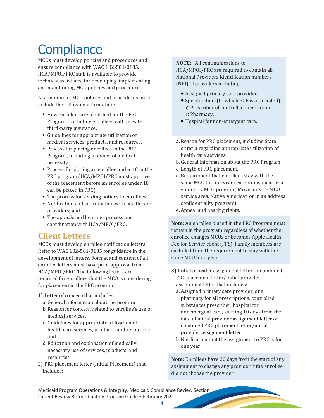### **Compliance**

MCOs must develop policies and procedures and ensure compliance with WAC 182-501-0135. HCA/MPOI/PRC staff is available to provide technical assistance for developing, implementing, and maintaining MCO policies and procedures.

At a minimum, MCO policies and procedures must include the following information:

- How enrollees are identified for the PRC Program. Excluding enrollees with private third-party insurance.
- Guidelines for appropriate utilization of medical services, products, and resources.
- Process for placing enrollees in the PRC Program, including a review of medical necessity.
- Process for placing an enrollee under 18 in the PRC program (HCA/MPOI/PRC must approve of the placement before an enrollee under 18 can be placed in PRC).
- The process for sending notices to enrollees.
- Notification and coordination with health care providers; and
- The appeals and hearings process and coordination with HCA/MPOI/PRC.

#### **Client Letters**

MCOs must develop enrollee notification letters. Refer to WAC 182-501-0135 for guidance in the development of letters. Format and content of all enrollee letters must have prior approval from HCA/MPOI/PRC. The following letters are required for enrollees that the MCO is considering for placement in the PRC program.

#### 1) Letter of concern that includes:

- a. General information about the program.
- b. Reason for concern related to enrollee's use of medical services.
- c. Guidelines for appropriate utilization of health care services, products, and resources; and
- d. Education and explanation of medically necessary use of services, products, and resources.
- 2) PRC placement letter (Initial Placement) that includes:

**NOTE:** All communications to HCA/MPOI/PRC are required to contain all National Providers Identification numbers (NPI) of providers including:

- Assigned primary care provider.
- Specific clinic (to which PCP is associated). oPrescriber of controlled medications. oPharmacy.
- Hospital for non-emergent care.
- a. Reason for PRC placement, including State criteria regarding appropriate utilization of health care services.
- b. General information about the PRC Program.
- c. Length of PRC placement.
- d.Requirement that enrollees stay with the same MCO for one year (exceptions include: a voluntary MCO program, Move outside MCO service area, Native American or in an address confidentiality program).
- e. Appeal and hearing rights.

**Note:** An enrollee placed in the PRC Program must remain in the program regardless of whether the enrollee changes MCOs or becomes Apple Health Fee for-Service client (FFS). Family members are excluded from the requirement to stay with the same MCO for a year.

- 3) Initial provider assignment letter or combined PRC placement letter/initial provider assignment letter that includes:
	- a. Assigned primary care provider, one pharmacy for all prescriptions, controlled substances prescriber, hospital for nonemergent care, starting 10 days from the date of initial provider assignment letter or combined PRC placement letter/initial provider assignment letter.
	- b.Notification that the assignment to PRC is for one year.

**Note:** Enrollees have 30 days from the start of any assignment to change any provider if the enrollee did not choose the provider.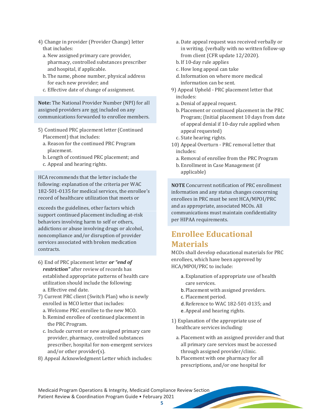- 4) Change in provider (Provider Change) letter that includes:
	- a. New assigned primary care provider, pharmacy, controlled substances prescriber and hospital, if applicable.
	- b. The name, phone number, physical address for each new provider; and
	- c. Effective date of change of assignment.

**Note:** The National Provider Number (NPI) for all assigned providers are not included on any communications forwarded to enrollee members.

- 5) Continued PRC placement letter (Continued Placement) that includes:
	- a. Reason for the continued PRC Program placement.
	- b. Length of continued PRC placement; and
	- c. Appeal and hearing rights.

HCA recommends that the letter include the following: explanation of the criteria per WAC 182-501-0135 for medical services, the enrollee's record of healthcare utilization that meets or

exceeds the guidelines, other factors which support continued placement including at-risk behaviors involving harm to self or others, addictions or abuse involving drugs or alcohol, noncompliance and/or disruption of provider services associated with broken medication contracts.

- 6) End of PRC placement letter *or "end of restriction"* after review of records has established appropriate patterns of health care utilization should include the following: a. Effective end date.
- 7) Current PRC client (Switch Plan) who is newly enrolled in MCO letter that includes:
	- a. Welcome PRC enrollee to the new MCO.
	- b. Remind enrollee of continued placement in the PRC Program.
	- c. Include current or new assigned primary care provider, pharmacy, controlled substances prescriber, hospital for non-emergent services and/or other provider(s).
- 8) Appeal Acknowledgment Letter which includes:
- a. Date appeal request was received verbally or in writing. (verbally with no written follow-up from client (CFR update 12/2020).
- b.If 10-day rule applies
- c. How long appeal can take
- d.Information on where more medical information can be sent.
- 9) Appeal Upheld PRC placement letter that includes:
	- a. Denial of appeal request.
	- b. Placement or continued placement in the PRC Program; (Initial placement 10 days from date of appeal denial if 10-day rule applied when appeal requested)
	- c. State hearing rights.
- 10) Appeal Overturn PRC removal letter that includes:
	- a. Removal of enrollee from the PRC Program
	- b. Enrollment in Case Management (if applicable)

**NOTE** Concurrent notification of PRC enrollment information and any status changes concerning enrollees in PRC must be sent HCA/MPOI/PRC and as appropriate, associated MCOs. All communications must maintain confidentiality per HIPAA requirements.

#### **Enrollee Educational Materials**

MCOs shall develop educational materials for PRC enrollees, which have been approved by HCA/MPOI/PRC to include:

- a.Explanation of appropriate use of health care services.
- b.Placement with assigned providers.
- c. Placement period.
- d.Reference to WAC 182-501-0135; and
- e.Appeal and hearing rights.
- 1) Explanation of the appropriate use of healthcare services including:
	- a. Placement with an assigned provider and that all primary care services must be accessed through assigned provider/clinic.
	- b. Placement with one pharmacy for all prescriptions, and/or one hospital for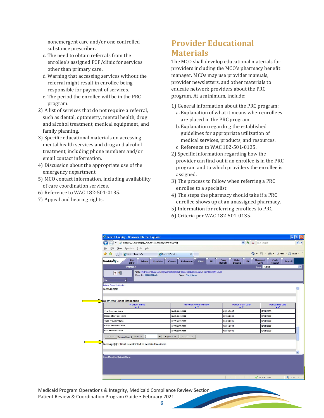nonemergent care and/or one controlled substance prescriber.

- c. The need to obtain referrals from the enrollee's assigned PCP/clinic for services other than primary care.
- d.Warning that accessing services without the referral might result in enrollee being responsible for payment of services.
- e. The period the enrollee will be in the PRC program.
- 2) A list of services that do not require a referral, such as dental, optometry, mental health, drug and alcohol treatment, medical equipment, and family planning.
- 3) Specific educational materials on accessing mental health services and drug and alcohol treatment, including phone numbers and/or email contact information.
- 4) Discussion about the appropriate use of the emergency department.
- 5) MCO contact information, including availability of care coordination services.
- 6) Reference to WAC 182-501-0135.
- 7) Appeal and hearing rights.

#### **Provider Educational Materials**

The MCO shall develop educational materials for providers including the MCO's pharmacy benefit manager. MCOs may use provider manuals, provider newsletters, and other materials to educate network providers about the PRC program. At a minimum, include:

- 1) General information about the PRC program: a. Explanation of what it means when enrollees are placed in the PRC program.
	- b. Explanation regarding the established guidelines for appropriate utilization of medical services, products, and resources. c. Reference to WAC 182-501-0135.
- 2) Specific information regarding how the provider can find out if an enrollee is in the PRC program and to which providers the enrollee is assigned.
- 3) The process to follow when referring a PRC enrollee to a specialist.
- 4) The steps the pharmacy should take if a PRC enrollee shows up at an unassigned pharmacy.
- 5) Information for referring enrollees to PRC.
- 6) Criteria per WAC 182-501-0135.

| e http://test.providerone.wa.gov/i3uat/CNSIControlServlet                    |                                                                                                                       | $ v $ $ v $<br>$\vert x \vert$                                             | Live Search                                       |
|------------------------------------------------------------------------------|-----------------------------------------------------------------------------------------------------------------------|----------------------------------------------------------------------------|---------------------------------------------------|
| Favorites Tools Help<br>Edit<br>View<br>File                                 |                                                                                                                       |                                                                            |                                                   |
| दरि<br>88 -                                                                  | Benefit Enquiry<br>$\times$                                                                                           |                                                                            | ☆ · 同 · 曲 · Prege · ⊙ Tools ·                     |
| PRR - Client Info                                                            |                                                                                                                       |                                                                            |                                                   |
| My<br><b>Provider</b> She<br><b>Admin</b><br><b>Provider</b><br><b>Inbox</b> | <b>Claims</b><br><b>Reference</b><br><b>Client</b>                                                                    | <b>Drug</b><br>Rate<br>PA<br><b>TPL</b><br><b>Rebate</b><br><b>Setting</b> | Managed<br>Cash<br>Care<br><b>Receipt</b>         |
| Welcome                                                                      |                                                                                                                       |                                                                            | Links: -Select-                                   |
| 2 <sup>1</sup><br>Client Id: ########WVA<br>$\mathbf{v}$<br>Menu             | Path: MyInbox/ Client List/ Demographic Detail/ Client Eligibility Inquiry/ Client Benefit Level<br>Name: Client Name |                                                                            |                                                   |
| Printer Friendly Version                                                     |                                                                                                                       |                                                                            |                                                   |
| Message(s):                                                                  |                                                                                                                       |                                                                            |                                                   |
|                                                                              |                                                                                                                       |                                                                            |                                                   |
| <b>Restricted Client Information</b>                                         |                                                                                                                       |                                                                            |                                                   |
| <b>Provider Name</b><br>A V                                                  | <b>Provider Phone Number</b><br>$\triangle$ $\triangledown$                                                           | <b>Period Start Date</b><br>A V                                            | <b>Period End Date</b><br>$\blacktriangle \nabla$ |
| First Provider Name                                                          | (###) ###-####                                                                                                        | 05/23/2005                                                                 | 12/31/2999                                        |
| Second Provider Name                                                         | (###) ###-####                                                                                                        | 02/03/2005                                                                 | 12/31/2999                                        |
| Third Provider Name                                                          | (###) ###-####                                                                                                        | 05/26/2005                                                                 | 12/31/2999                                        |
| Fourth Provider Name                                                         | (###) ###-####                                                                                                        | 02/01/2004                                                                 | 12/31/2999                                        |
| <b>Fifth Provider Name</b>                                                   | (###) ###-####                                                                                                        | 02/03/2005                                                                 | 12/31/2999                                        |
| 12<br>Go<br>Viewing Page 1 Next >><br><< Prev                                | Page Count<br>SaveToXLS                                                                                               |                                                                            |                                                   |
|                                                                              |                                                                                                                       |                                                                            |                                                   |
| Message(s): Client is restricted to certain Providers                        |                                                                                                                       |                                                                            |                                                   |
|                                                                              |                                                                                                                       |                                                                            |                                                   |
| Page ID: pgProvMedicaid(Client)                                              |                                                                                                                       |                                                                            |                                                   |
|                                                                              |                                                                                                                       |                                                                            |                                                   |
|                                                                              |                                                                                                                       |                                                                            |                                                   |
|                                                                              |                                                                                                                       |                                                                            |                                                   |
|                                                                              |                                                                                                                       |                                                                            |                                                   |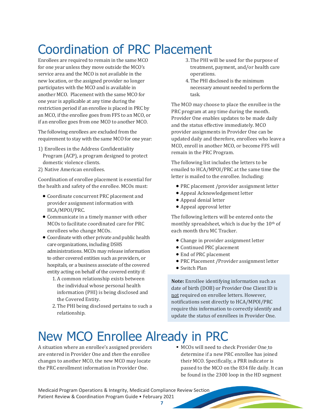## Coordination of PRC Placement

Enrollees are required to remain in the same MCO for one year unless they move outside the MCO's service area and the MCO is not available in the new location, or the assigned provider no longer participates with the MCO and is available in another MCO. Placement with the same MCO for one year is applicable at any time during the restriction period if an enrollee is placed in PRC by an MCO, if the enrollee goes from FFS to an MCO, or if an enrollee goes from one MCO to another MCO.

The following enrollees are excluded from the requirement to stay with the same MCO for one year:

- 1) Enrollees in the Address Confidentiality Program (ACP), a program designed to protect domestic violence clients.
- 2) Native American enrollees.

Coordination of enrollee placement is essential for the health and safety of the enrollee. MCOs must:

- Coordinate concurrent PRC placement and provider assignment information with HCA/MPOI/PRC.
- Communicate in a timely manner with other MCOs to facilitate coordinated care for PRC enrollees who change MCOs.
- Coordinate with other private and public health care organizations, including DSHS administrations. MCOs may release information to other covered entities such as providers, or hospitals, or a business associate of the covered entity acting on behalf of the covered entity if:
	- 1.A common relationship exists between the individual whose personal health information (PHI) is being disclosed and the Covered Entity.
	- 2.The PHI being disclosed pertains to such a relationship.
- 3.The PHI will be used for the purpose of treatment, payment, and/or health care operations.
- 4. The PHI disclosed is the minimum necessary amount needed to perform the task.

The MCO may choose to place the enrollee in the PRC program at any time during the month. Provider One enables updates to be made daily and the status effective immediately. MCO provider assignments in Provider One can be updated daily and therefore, enrollees who leave a MCO, enroll in another MCO, or become FFS will remain in the PRC Program.

The following list includes the letters to be emailed to HCA/MPOI/PRC at the same time the letter is mailed to the enrollee. Including:

- PRC placement /provider assignment letter
- Appeal Acknowledgement letter
- Appeal denial letter
- Appeal approval letter

The following letters will be entered onto the monthly spreadsheet, which is due by the 10<sup>th</sup> of each month thru MC Tracker.

- Change in provider assignment letter
- Continued PRC placement
- End of PRC placement
- PRC Placement /Provider assignment letter
- Switch Plan

**Note:** Enrollee identifying information such as date of birth (DOB) or Provider One Client ID is not required on enrollee letters. However, notifications sent directly to HCA/MPOI/PRC require this information to correctly identify and update the status of enrollees in Provider One.

### New MCO Enrollee Already in PRC

A situation where an enrollee's assigned providers are entered in Provider One and *then* the enrollee changes to another MCO, the new MCO may locate the PRC enrollment information in Provider One.

MCOs will need to check Provider One [t](https://www.waproviderone.org/)o determine if a new PRC enrollee has joined their MCO. Specifically, a PRR indicator is passed to the MCO on the 834 file daily. It can be found in the 2300 loop in the HD segment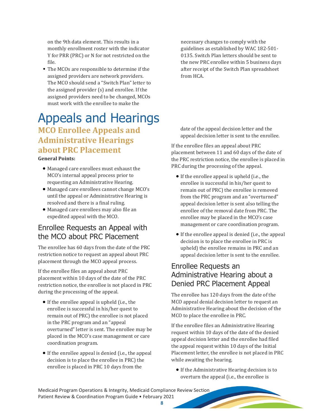on the 9th data element. This results in a monthly enrollment roster with the indicator Y for PRR (PRC) or N for not restricted on the file.

The MCOs are responsible to determine if the assigned providers are network providers. The MCO should send a "Switch Plan" letter to the assigned provider (s) and enrollee. If the assigned providers need to be changed, MCOs must work with the enrollee to make the

### Appeals and Hearings **MCO Enrollee Appeals and Administrative Hearings about PRC Placement**

**General Points:** 

- Managed care enrollees must exhaust the MCO's internal appeal process prior to requesting an Administrative Hearing.
- Managed care enrollees cannot change MCO's until the appeal or Administrative Hearing is resolved and there is a final ruling.
- Managed care enrollees may also file an expedited appeal with the MCO.

#### Enrollee Requests an Appeal with the MCO about PRC Placement

The enrollee has 60 days from the date of the PRC restriction notice to request an appeal about PRC placement through the MCO appeal process.

If the enrollee files an appeal about PRC placement within 10 days of the date of the PRC restriction notice, the enrollee is not placed in PRC during the processing of the appeal.

- If the enrollee appeal is upheld (i.e., the enrollee is successful in his/her quest to remain out of PRC) the enrollee is not placed in the PRC program and an "appeal overturned" letter is sent. The enrollee may be placed in the MCO's case management or care coordination program.
- If the enrollee appeal is denied (i.e., the appeal decision is to place the enrollee in PRC) the enrollee is placed in PRC 10 days from the

necessary changes to comply with the guidelines as established by WAC 182-501- 0135. Switch Plan letters should be sent to the new PRC enrollee within 5 business days after receipt of the Switch Plan spreadsheet from HCA.

date of the appeal decision letter and the appeal decision letter is sent to the enrollee.

If the enrollee files an appeal about PRC placement between 11 and 60 days of the date of the PRC restriction notice, the enrollee is placed in PRC during the processing of the appeal.

- If the enrollee appeal is upheld (i.e., the enrollee is successful in his/her quest to remain out of PRC) the enrollee is removed from the PRC program and an "overturned" appeal decision letter is sent also telling the enrollee of the removal date from PRC. The enrollee may be placed in the MCO's case management or care coordination program.
- If the enrollee appeal is denied (i.e., the appeal decision is to place the enrollee in PRC is upheld) the enrollee remains in PRC and an appeal decision letter is sent to the enrollee.

#### Enrollee Requests an Administrative Hearing about a Denied PRC Placement Appeal

The enrollee has 120 days from the date of the MCO appeal denial decision letter to request an Administrative Hearing about the decision of the MCO to place the enrollee in PRC.

If the enrollee files an Administrative Hearing request within 10 days of the date of the denied appeal decision letter and the enrollee had filed the appeal request within 10 days of the Initial Placement letter, the enrollee is not placed in PRC while awaiting the hearing.

• If the Administrative Hearing decision is to overturn the appeal (i.e., the enrollee is